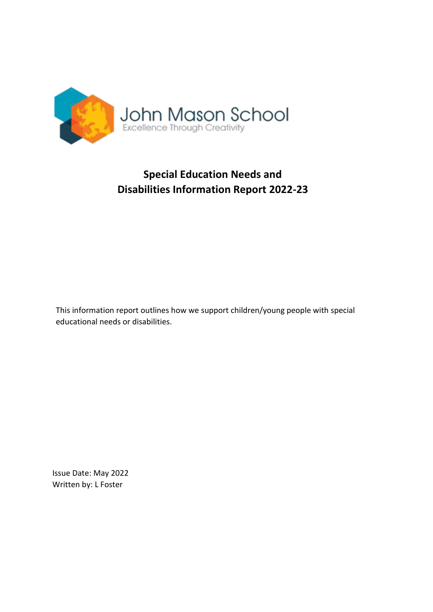

# **Special Education Needs and Disabilities Information Report 2022-23**

This information report outlines how we support children/young people with special educational needs or disabilities.

Issue Date: May 2022 Written by: L Foster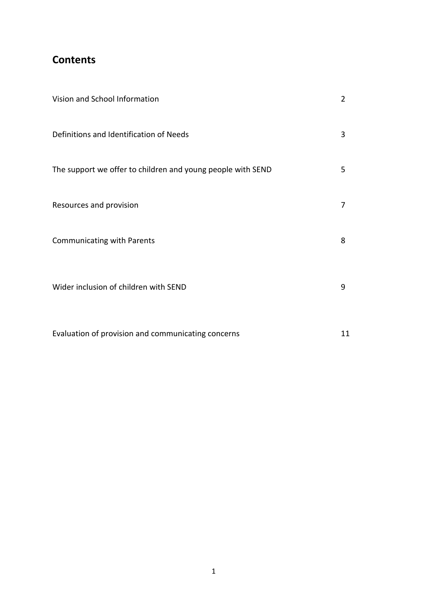## **Contents**

| Vision and School Information                               | $\overline{2}$ |
|-------------------------------------------------------------|----------------|
| Definitions and Identification of Needs                     | 3              |
| The support we offer to children and young people with SEND | 5              |
| Resources and provision                                     | $\overline{7}$ |
| <b>Communicating with Parents</b>                           | 8              |
| Wider inclusion of children with SEND                       | 9              |
| Evaluation of provision and communicating concerns          | 11             |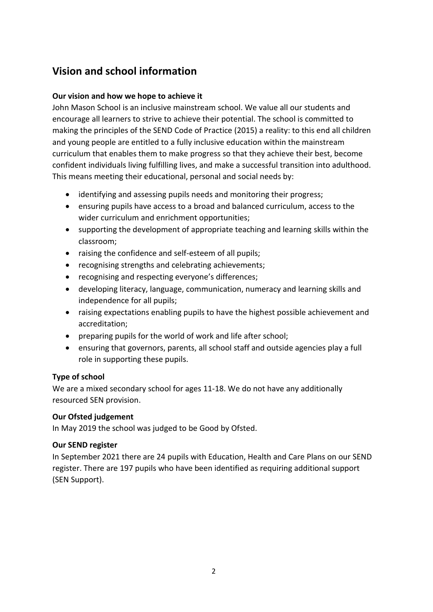## **Vision and school information**

### **Our vision and how we hope to achieve it**

John Mason School is an inclusive mainstream school. We value all our students and encourage all learners to strive to achieve their potential. The school is committed to making the principles of the SEND Code of Practice (2015) a reality: to this end all children and young people are entitled to a fully inclusive education within the mainstream curriculum that enables them to make progress so that they achieve their best, become confident individuals living fulfilling lives, and make a successful transition into adulthood. This means meeting their educational, personal and social needs by:

- identifying and assessing pupils needs and monitoring their progress;
- ensuring pupils have access to a broad and balanced curriculum, access to the wider curriculum and enrichment opportunities;
- supporting the development of appropriate teaching and learning skills within the classroom;
- raising the confidence and self-esteem of all pupils;
- recognising strengths and celebrating achievements;
- recognising and respecting everyone's differences;
- developing literacy, language, communication, numeracy and learning skills and independence for all pupils;
- raising expectations enabling pupils to have the highest possible achievement and accreditation;
- preparing pupils for the world of work and life after school;
- ensuring that governors, parents, all school staff and outside agencies play a full role in supporting these pupils.

### **Type of school**

We are a mixed secondary school for ages 11-18. We do not have any additionally resourced SEN provision.

### **Our Ofsted judgement**

In May 2019 the school was judged to be Good by Ofsted.

### **Our SEND register**

In September 2021 there are 24 pupils with Education, Health and Care Plans on our SEND register. There are 197 pupils who have been identified as requiring additional support (SEN Support).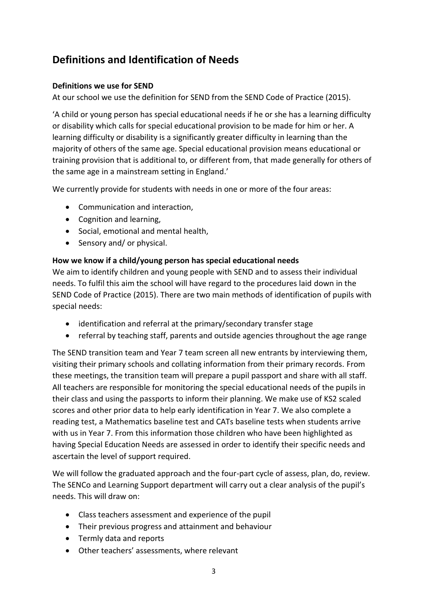## **Definitions and Identification of Needs**

### **Definitions we use for SEND**

At our school we use the definition for SEND from the SEND Code of Practice (2015).

'A child or young person has special educational needs if he or she has a learning difficulty or disability which calls for special educational provision to be made for him or her. A learning difficulty or disability is a significantly greater difficulty in learning than the majority of others of the same age. Special educational provision means educational or training provision that is additional to, or different from, that made generally for others of the same age in a mainstream setting in England.'

We currently provide for students with needs in one or more of the four areas:

- Communication and interaction,
- Cognition and learning,
- Social, emotional and mental health,
- Sensory and/ or physical.

## **How we know if a child/young person has special educational needs**

We aim to identify children and young people with SEND and to assess their individual needs. To fulfil this aim the school will have regard to the procedures laid down in the SEND Code of Practice (2015). There are two main methods of identification of pupils with special needs:

- identification and referral at the primary/secondary transfer stage
- referral by teaching staff, parents and outside agencies throughout the age range

The SEND transition team and Year 7 team screen all new entrants by interviewing them, visiting their primary schools and collating information from their primary records. From these meetings, the transition team will prepare a pupil passport and share with all staff. All teachers are responsible for monitoring the special educational needs of the pupils in their class and using the passports to inform their planning. We make use of KS2 scaled scores and other prior data to help early identification in Year 7. We also complete a reading test, a Mathematics baseline test and CATs baseline tests when students arrive with us in Year 7. From this information those children who have been highlighted as having Special Education Needs are assessed in order to identify their specific needs and ascertain the level of support required.

We will follow the graduated approach and the four-part cycle of assess, plan, do, review. The SENCo and Learning Support department will carry out a clear analysis of the pupil's needs. This will draw on:

- Class teachers assessment and experience of the pupil
- Their previous progress and attainment and behaviour
- Termly data and reports
- Other teachers' assessments, where relevant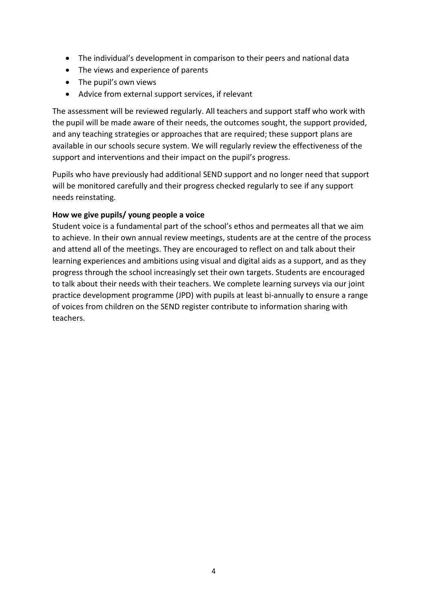- The individual's development in comparison to their peers and national data
- The views and experience of parents
- The pupil's own views
- Advice from external support services, if relevant

The assessment will be reviewed regularly. All teachers and support staff who work with the pupil will be made aware of their needs, the outcomes sought, the support provided, and any teaching strategies or approaches that are required; these support plans are available in our schools secure system. We will regularly review the effectiveness of the support and interventions and their impact on the pupil's progress.

Pupils who have previously had additional SEND support and no longer need that support will be monitored carefully and their progress checked regularly to see if any support needs reinstating.

### **How we give pupils/ young people a voice**

Student voice is a fundamental part of the school's ethos and permeates all that we aim to achieve. In their own annual review meetings, students are at the centre of the process and attend all of the meetings. They are encouraged to reflect on and talk about their learning experiences and ambitions using visual and digital aids as a support, and as they progress through the school increasingly set their own targets. Students are encouraged to talk about their needs with their teachers. We complete learning surveys via our joint practice development programme (JPD) with pupils at least bi-annually to ensure a range of voices from children on the SEND register contribute to information sharing with teachers.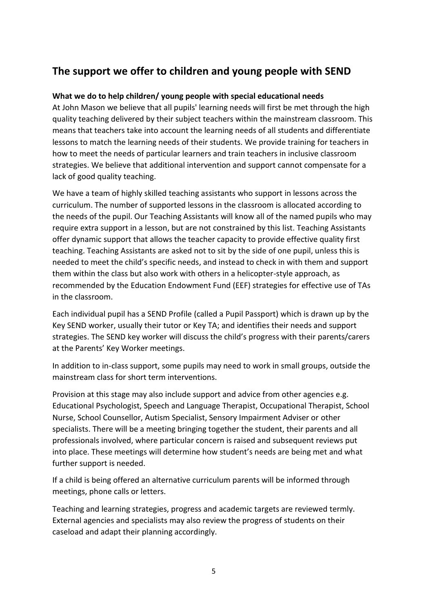## **The support we offer to children and young people with SEND**

### **What we do to help children/ young people with special educational needs**

At John Mason we believe that all pupils' learning needs will first be met through the high quality teaching delivered by their subject teachers within the mainstream classroom. This means that teachers take into account the learning needs of all students and differentiate lessons to match the learning needs of their students. We provide training for teachers in how to meet the needs of particular learners and train teachers in inclusive classroom strategies. We believe that additional intervention and support cannot compensate for a lack of good quality teaching.

We have a team of highly skilled teaching assistants who support in lessons across the curriculum. The number of supported lessons in the classroom is allocated according to the needs of the pupil. Our Teaching Assistants will know all of the named pupils who may require extra support in a lesson, but are not constrained by this list. Teaching Assistants offer dynamic support that allows the teacher capacity to provide effective quality first teaching. Teaching Assistants are asked not to sit by the side of one pupil, unless this is needed to meet the child's specific needs, and instead to check in with them and support them within the class but also work with others in a helicopter-style approach, as recommended by the Education Endowment Fund (EEF) strategies for effective use of TAs in the classroom.

Each individual pupil has a SEND Profile (called a Pupil Passport) which is drawn up by the Key SEND worker, usually their tutor or Key TA; and identifies their needs and support strategies. The SEND key worker will discuss the child's progress with their parents/carers at the Parents' Key Worker meetings.

In addition to in-class support, some pupils may need to work in small groups, outside the mainstream class for short term interventions.

Provision at this stage may also include support and advice from other agencies e.g. Educational Psychologist, Speech and Language Therapist, Occupational Therapist, School Nurse, School Counsellor, Autism Specialist, Sensory Impairment Adviser or other specialists. There will be a meeting bringing together the student, their parents and all professionals involved, where particular concern is raised and subsequent reviews put into place. These meetings will determine how student's needs are being met and what further support is needed.

If a child is being offered an alternative curriculum parents will be informed through meetings, phone calls or letters.

Teaching and learning strategies, progress and academic targets are reviewed termly. External agencies and specialists may also review the progress of students on their caseload and adapt their planning accordingly.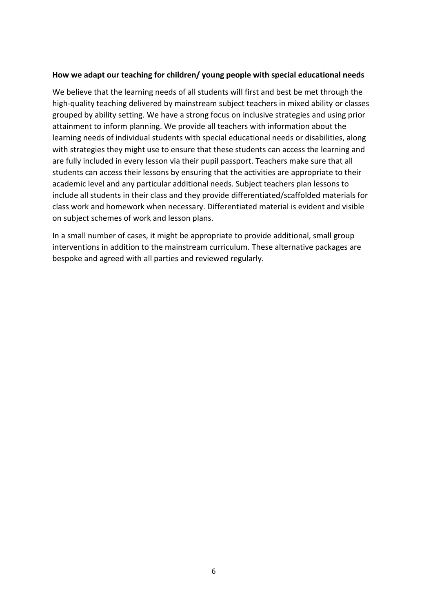#### **How we adapt our teaching for children/ young people with special educational needs**

We believe that the learning needs of all students will first and best be met through the high-quality teaching delivered by mainstream subject teachers in mixed ability or classes grouped by ability setting. We have a strong focus on inclusive strategies and using prior attainment to inform planning. We provide all teachers with information about the learning needs of individual students with special educational needs or disabilities, along with strategies they might use to ensure that these students can access the learning and are fully included in every lesson via their pupil passport. Teachers make sure that all students can access their lessons by ensuring that the activities are appropriate to their academic level and any particular additional needs. Subject teachers plan lessons to include all students in their class and they provide differentiated/scaffolded materials for class work and homework when necessary. Differentiated material is evident and visible on subject schemes of work and lesson plans.

In a small number of cases, it might be appropriate to provide additional, small group interventions in addition to the mainstream curriculum. These alternative packages are bespoke and agreed with all parties and reviewed regularly.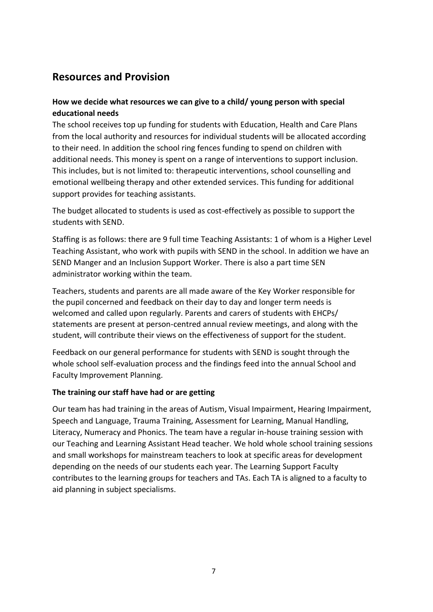## **Resources and Provision**

## **How we decide what resources we can give to a child/ young person with special educational needs**

The school receives top up funding for students with Education, Health and Care Plans from the local authority and resources for individual students will be allocated according to their need. In addition the school ring fences funding to spend on children with additional needs. This money is spent on a range of interventions to support inclusion. This includes, but is not limited to: therapeutic interventions, school counselling and emotional wellbeing therapy and other extended services. This funding for additional support provides for teaching assistants.

The budget allocated to students is used as cost-effectively as possible to support the students with SEND.

Staffing is as follows: there are 9 full time Teaching Assistants: 1 of whom is a Higher Level Teaching Assistant, who work with pupils with SEND in the school. In addition we have an SEND Manger and an Inclusion Support Worker. There is also a part time SEN administrator working within the team.

Teachers, students and parents are all made aware of the Key Worker responsible for the pupil concerned and feedback on their day to day and longer term needs is welcomed and called upon regularly. Parents and carers of students with EHCPs/ statements are present at person-centred annual review meetings, and along with the student, will contribute their views on the effectiveness of support for the student.

Feedback on our general performance for students with SEND is sought through the whole school self-evaluation process and the findings feed into the annual School and Faculty Improvement Planning.

### **The training our staff have had or are getting**

Our team has had training in the areas of Autism, Visual Impairment, Hearing Impairment, Speech and Language, Trauma Training, Assessment for Learning, Manual Handling, Literacy, Numeracy and Phonics. The team have a regular in-house training session with our Teaching and Learning Assistant Head teacher. We hold whole school training sessions and small workshops for mainstream teachers to look at specific areas for development depending on the needs of our students each year. The Learning Support Faculty contributes to the learning groups for teachers and TAs. Each TA is aligned to a faculty to aid planning in subject specialisms.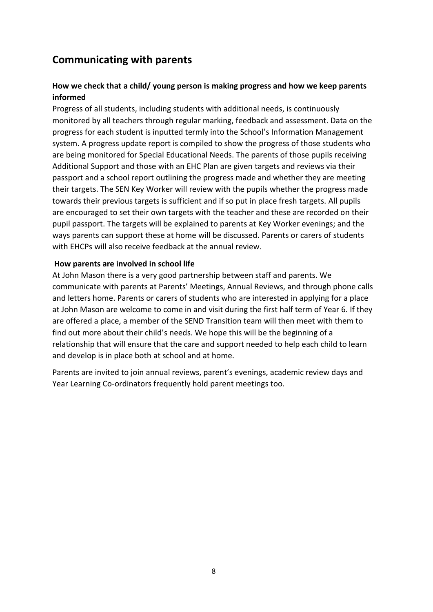## **Communicating with parents**

## **How we check that a child/ young person is making progress and how we keep parents informed**

Progress of all students, including students with additional needs, is continuously monitored by all teachers through regular marking, feedback and assessment. Data on the progress for each student is inputted termly into the School's Information Management system. A progress update report is compiled to show the progress of those students who are being monitored for Special Educational Needs. The parents of those pupils receiving Additional Support and those with an EHC Plan are given targets and reviews via their passport and a school report outlining the progress made and whether they are meeting their targets. The SEN Key Worker will review with the pupils whether the progress made towards their previous targets is sufficient and if so put in place fresh targets. All pupils are encouraged to set their own targets with the teacher and these are recorded on their pupil passport. The targets will be explained to parents at Key Worker evenings; and the ways parents can support these at home will be discussed. Parents or carers of students with EHCPs will also receive feedback at the annual review.

#### **How parents are involved in school life**

At John Mason there is a very good partnership between staff and parents. We communicate with parents at Parents' Meetings, Annual Reviews, and through phone calls and letters home. Parents or carers of students who are interested in applying for a place at John Mason are welcome to come in and visit during the first half term of Year 6. If they are offered a place, a member of the SEND Transition team will then meet with them to find out more about their child's needs. We hope this will be the beginning of a relationship that will ensure that the care and support needed to help each child to learn and develop is in place both at school and at home.

Parents are invited to join annual reviews, parent's evenings, academic review days and Year Learning Co-ordinators frequently hold parent meetings too.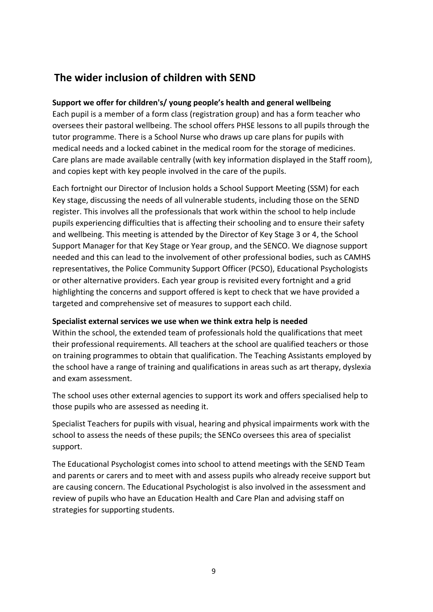## **The wider inclusion of children with SEND**

## **Support we offer for children's/ young people's health and general wellbeing**

Each pupil is a member of a form class (registration group) and has a form teacher who oversees their pastoral wellbeing. The school offers PHSE lessons to all pupils through the tutor programme. There is a School Nurse who draws up care plans for pupils with medical needs and a locked cabinet in the medical room for the storage of medicines. Care plans are made available centrally (with key information displayed in the Staff room), and copies kept with key people involved in the care of the pupils.

Each fortnight our Director of Inclusion holds a School Support Meeting (SSM) for each Key stage, discussing the needs of all vulnerable students, including those on the SEND register. This involves all the professionals that work within the school to help include pupils experiencing difficulties that is affecting their schooling and to ensure their safety and wellbeing. This meeting is attended by the Director of Key Stage 3 or 4, the School Support Manager for that Key Stage or Year group, and the SENCO. We diagnose support needed and this can lead to the involvement of other professional bodies, such as CAMHS representatives, the Police Community Support Officer (PCSO), Educational Psychologists or other alternative providers. Each year group is revisited every fortnight and a grid highlighting the concerns and support offered is kept to check that we have provided a targeted and comprehensive set of measures to support each child.

### **Specialist external services we use when we think extra help is needed**

Within the school, the extended team of professionals hold the qualifications that meet their professional requirements. All teachers at the school are qualified teachers or those on training programmes to obtain that qualification. The Teaching Assistants employed by the school have a range of training and qualifications in areas such as art therapy, dyslexia and exam assessment.

The school uses other external agencies to support its work and offers specialised help to those pupils who are assessed as needing it.

Specialist Teachers for pupils with visual, hearing and physical impairments work with the school to assess the needs of these pupils; the SENCo oversees this area of specialist support.

The Educational Psychologist comes into school to attend meetings with the SEND Team and parents or carers and to meet with and assess pupils who already receive support but are causing concern. The Educational Psychologist is also involved in the assessment and review of pupils who have an Education Health and Care Plan and advising staff on strategies for supporting students.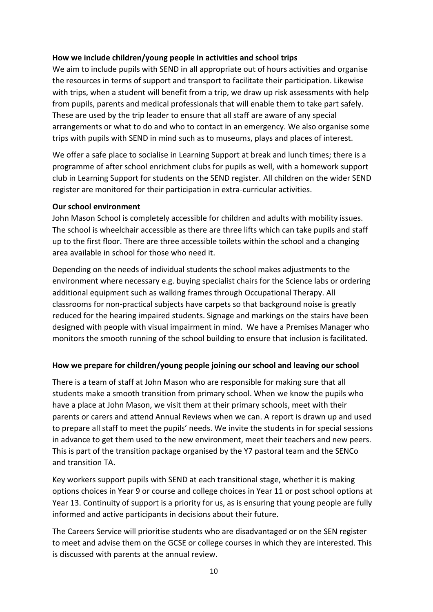#### **How we include children/young people in activities and school trips**

We aim to include pupils with SEND in all appropriate out of hours activities and organise the resources in terms of support and transport to facilitate their participation. Likewise with trips, when a student will benefit from a trip, we draw up risk assessments with help from pupils, parents and medical professionals that will enable them to take part safely. These are used by the trip leader to ensure that all staff are aware of any special arrangements or what to do and who to contact in an emergency. We also organise some trips with pupils with SEND in mind such as to museums, plays and places of interest.

We offer a safe place to socialise in Learning Support at break and lunch times; there is a programme of after school enrichment clubs for pupils as well, with a homework support club in Learning Support for students on the SEND register. All children on the wider SEND register are monitored for their participation in extra-curricular activities.

#### **Our school environment**

John Mason School is completely accessible for children and adults with mobility issues. The school is wheelchair accessible as there are three lifts which can take pupils and staff up to the first floor. There are three accessible toilets within the school and a changing area available in school for those who need it.

Depending on the needs of individual students the school makes adjustments to the environment where necessary e.g. buying specialist chairs for the Science labs or ordering additional equipment such as walking frames through Occupational Therapy. All classrooms for non-practical subjects have carpets so that background noise is greatly reduced for the hearing impaired students. Signage and markings on the stairs have been designed with people with visual impairment in mind. We have a Premises Manager who monitors the smooth running of the school building to ensure that inclusion is facilitated.

### **How we prepare for children/young people joining our school and leaving our school**

There is a team of staff at John Mason who are responsible for making sure that all students make a smooth transition from primary school. When we know the pupils who have a place at John Mason, we visit them at their primary schools, meet with their parents or carers and attend Annual Reviews when we can. A report is drawn up and used to prepare all staff to meet the pupils' needs. We invite the students in for special sessions in advance to get them used to the new environment, meet their teachers and new peers. This is part of the transition package organised by the Y7 pastoral team and the SENCo and transition TA.

Key workers support pupils with SEND at each transitional stage, whether it is making options choices in Year 9 or course and college choices in Year 11 or post school options at Year 13. Continuity of support is a priority for us, as is ensuring that young people are fully informed and active participants in decisions about their future.

The Careers Service will prioritise students who are disadvantaged or on the SEN register to meet and advise them on the GCSE or college courses in which they are interested. This is discussed with parents at the annual review.